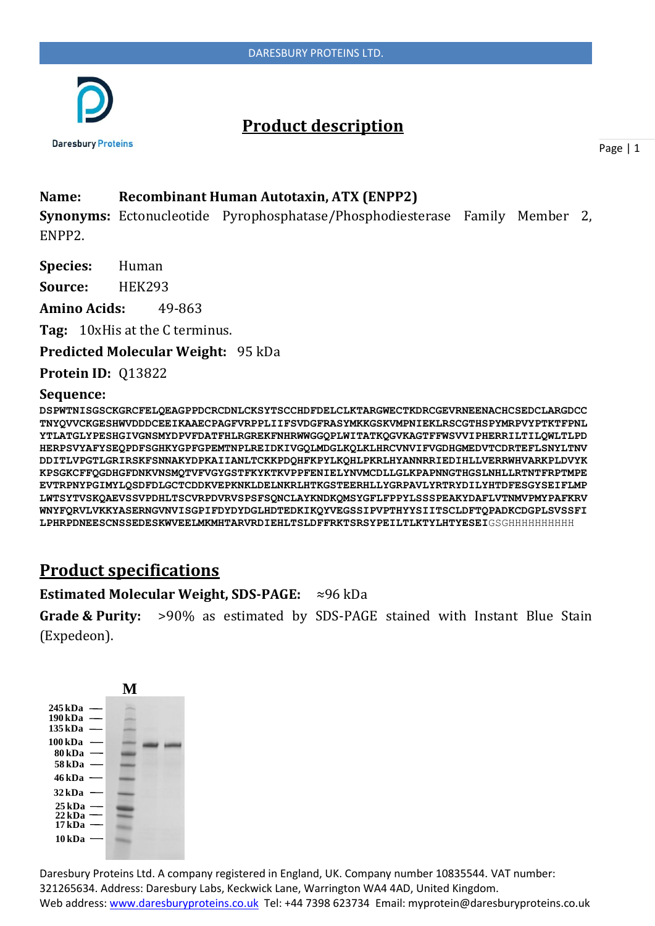

# **Product description**

Page | 1

### **Name: Recombinant Human Autotaxin, ATX (ENPP2)**

**Synonyms:** Ectonucleotide Pyrophosphatase/Phosphodiesterase Family Member 2, ENPP2.

**Species:** Human

**Source:** HEK293

**Amino Acids:** 49-863

**Tag:** 10xHis at the C terminus.

**Predicted Molecular Weight:** 95 kDa

**Protein ID:** Q13822

#### **Sequence:**

**DSPWTNISGSCKGRCFELQEAGPPDCRCDNLCKSYTSCCHDFDELCLKTARGWECTKDRCGEVRNEENACHCSEDCLARGDCC TNYQVVCKGESHWVDDDCEEIKAAECPAGFVRPPLIIFSVDGFRASYMKKGSKVMPNIEKLRSCGTHSPYMRPVYPTKTFPNL YTLATGLYPESHGIVGNSMYDPVFDATFHLRGREKFNHRWWGGQPLWITATKQGVKAGTFFWSVVIPHERRILTILQWLTLPD HERPSVYAFYSEQPDFSGHKYGPFGPEMTNPLREIDKIVGQLMDGLKQLKLHRCVNVIFVGDHGMEDVTCDRTEFLSNYLTNV DDITLVPGTLGRIRSKFSNNAKYDPKAIIANLTCKKPDQHFKPYLKQHLPKRLHYANNRRIEDIHLLVERRWHVARKPLDVYK KPSGKCFFQGDHGFDNKVNSMQTVFVGYGSTFKYKTKVPPFENIELYNVMCDLLGLKPAPNNGTHGSLNHLLRTNTFRPTMPE EVTRPNYPGIMYLQSDFDLGCTCDDKVEPKNKLDELNKRLHTKGSTEERHLLYGRPAVLYRTRYDILYHTDFESGYSEIFLMP LWTSYTVSKQAEVSSVPDHLTSCVRPDVRVSPSFSQNCLAYKNDKQMSYGFLFPPYLSSSPEAKYDAFLVTNMVPMYPAFKRV WNYFQRVLVKKYASERNGVNVISGPIFDYDYDGLHDTEDKIKQYVEGSSIPVPTHYYSIITSCLDFTQPADKCDGPLSVSSFI LPHRPDNEESCNSSEDESKWVEELMKMHTARVRDIEHLTSLDFFRKTSRSYPEILTLKTYLHTYESEI**GSGHHHHHHHHHH

## **Product specifications**

#### **Estimated Molecular Weight, SDS-PAGE:** ≈96 kDa

**Grade & Purity:** >90% as estimated by SDS-PAGE stained with Instant Blue Stain (Expedeon).

|                                                                                                                                       | M |
|---------------------------------------------------------------------------------------------------------------------------------------|---|
| 245 kDa<br>190 kDa<br>135 kDa<br>100 kDa<br>80 <sub>kDa</sub><br>58 kDa<br>46 kDa<br>32 kDa<br>25 <sub>kDa</sub><br>22 <sub>kDa</sub> |   |
| 17 kDa<br>10 <sub>kDa</sub>                                                                                                           |   |

Daresbury Proteins Ltd. A company registered in England, UK. Company number 10835544. VAT number: 321265634. Address: Daresbury Labs, Keckwick Lane, Warrington WA4 4AD, United Kingdom. Web address: www.daresburyproteins.co.uk Tel: +44 7398 623734 Email: myprotein@daresburyproteins.co.uk